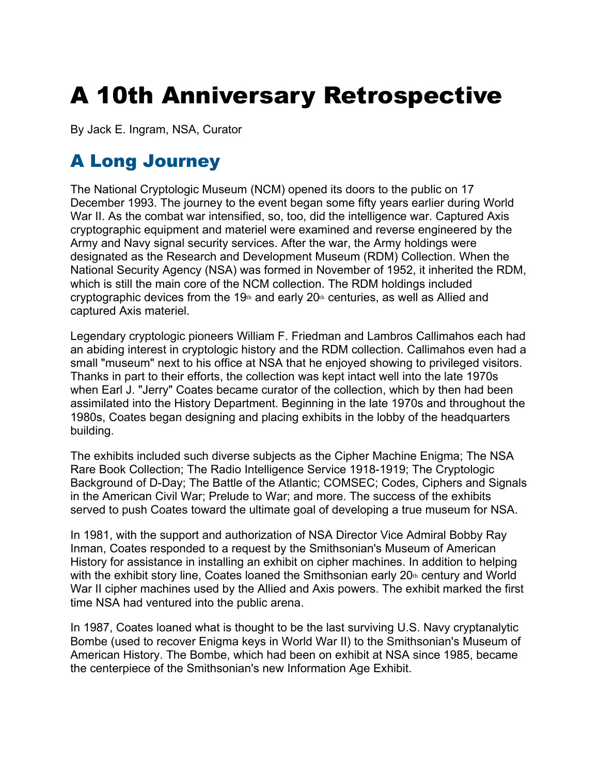# A 10th Anniversary Retrospective

By Jack E. Ingram, NSA, Curator

## A Long Journey

The National Cryptologic Museum (NCM) opened its doors to the public on 17 December 1993. The journey to the event began some fifty years earlier during World War II. As the combat war intensified, so, too, did the intelligence war. Captured Axis cryptographic equipment and materiel were examined and reverse engineered by the Army and Navy signal security services. After the war, the Army holdings were designated as the Research and Development Museum (RDM) Collection. When the National Security Agency (NSA) was formed in November of 1952, it inherited the RDM, which is still the main core of the NCM collection. The RDM holdings included cryptographic devices from the 19th and early 20th centuries, as well as Allied and captured Axis materiel.

Legendary cryptologic pioneers William F. Friedman and Lambros Callimahos each had an abiding interest in cryptologic history and the RDM collection. Callimahos even had a small "museum" next to his office at NSA that he enjoyed showing to privileged visitors. Thanks in part to their efforts, the collection was kept intact well into the late 1970s when Earl J. "Jerry" Coates became curator of the collection, which by then had been assimilated into the History Department. Beginning in the late 1970s and throughout the 1980s, Coates began designing and placing exhibits in the lobby of the headquarters building.

The exhibits included such diverse subjects as the Cipher Machine Enigma; The NSA Rare Book Collection; The Radio Intelligence Service 1918-1919; The Cryptologic Background of D-Day; The Battle of the Atlantic; COMSEC; Codes, Ciphers and Signals in the American Civil War; Prelude to War; and more. The success of the exhibits served to push Coates toward the ultimate goal of developing a true museum for NSA.

In 1981, with the support and authorization of NSA Director Vice Admiral Bobby Ray Inman, Coates responded to a request by the Smithsonian's Museum of American History for assistance in installing an exhibit on cipher machines. In addition to helping with the exhibit story line, Coates loaned the Smithsonian early  $20<sup>th</sup>$  century and World War II cipher machines used by the Allied and Axis powers. The exhibit marked the first time NSA had ventured into the public arena.

In 1987, Coates loaned what is thought to be the last surviving U.S. Navy cryptanalytic Bombe (used to recover Enigma keys in World War II) to the Smithsonian's Museum of American History. The Bombe, which had been on exhibit at NSA since 1985, became the centerpiece of the Smithsonian's new Information Age Exhibit.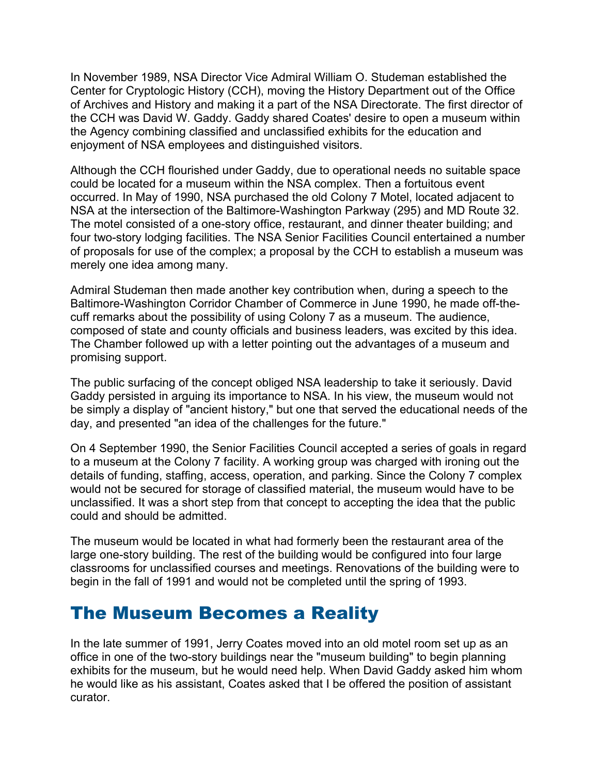In November 1989, NSA Director Vice Admiral William O. Studeman established the Center for Cryptologic History (CCH), moving the History Department out of the Office of Archives and History and making it a part of the NSA Directorate. The first director of the CCH was David W. Gaddy. Gaddy shared Coates' desire to open a museum within the Agency combining classified and unclassified exhibits for the education and enjoyment of NSA employees and distinguished visitors.

Although the CCH flourished under Gaddy, due to operational needs no suitable space could be located for a museum within the NSA complex. Then a fortuitous event occurred. In May of 1990, NSA purchased the old Colony 7 Motel, located adjacent to NSA at the intersection of the Baltimore-Washington Parkway (295) and MD Route 32. The motel consisted of a one-story office, restaurant, and dinner theater building; and four two-story lodging facilities. The NSA Senior Facilities Council entertained a number of proposals for use of the complex; a proposal by the CCH to establish a museum was merely one idea among many.

Admiral Studeman then made another key contribution when, during a speech to the Baltimore-Washington Corridor Chamber of Commerce in June 1990, he made off-thecuff remarks about the possibility of using Colony 7 as a museum. The audience, composed of state and county officials and business leaders, was excited by this idea. The Chamber followed up with a letter pointing out the advantages of a museum and promising support.

The public surfacing of the concept obliged NSA leadership to take it seriously. David Gaddy persisted in arguing its importance to NSA. In his view, the museum would not be simply a display of "ancient history," but one that served the educational needs of the day, and presented "an idea of the challenges for the future."

On 4 September 1990, the Senior Facilities Council accepted a series of goals in regard to a museum at the Colony 7 facility. A working group was charged with ironing out the details of funding, staffing, access, operation, and parking. Since the Colony 7 complex would not be secured for storage of classified material, the museum would have to be unclassified. It was a short step from that concept to accepting the idea that the public could and should be admitted.

The museum would be located in what had formerly been the restaurant area of the large one-story building. The rest of the building would be configured into four large classrooms for unclassified courses and meetings. Renovations of the building were to begin in the fall of 1991 and would not be completed until the spring of 1993.

## The Museum Becomes a Reality

In the late summer of 1991, Jerry Coates moved into an old motel room set up as an office in one of the two-story buildings near the "museum building" to begin planning exhibits for the museum, but he would need help. When David Gaddy asked him whom he would like as his assistant, Coates asked that I be offered the position of assistant curator.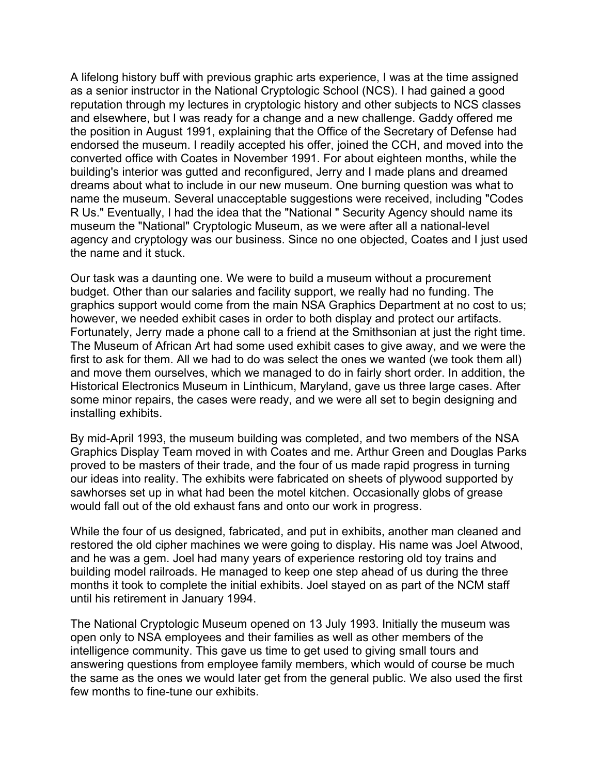A lifelong history buff with previous graphic arts experience, I was at the time assigned as a senior instructor in the National Cryptologic School (NCS). I had gained a good reputation through my lectures in cryptologic history and other subjects to NCS classes and elsewhere, but I was ready for a change and a new challenge. Gaddy offered me the position in August 1991, explaining that the Office of the Secretary of Defense had endorsed the museum. I readily accepted his offer, joined the CCH, and moved into the converted office with Coates in November 1991. For about eighteen months, while the building's interior was gutted and reconfigured, Jerry and I made plans and dreamed dreams about what to include in our new museum. One burning question was what to name the museum. Several unacceptable suggestions were received, including "Codes R Us." Eventually, I had the idea that the "National " Security Agency should name its museum the "National" Cryptologic Museum, as we were after all a national-level agency and cryptology was our business. Since no one objected, Coates and I just used the name and it stuck.

Our task was a daunting one. We were to build a museum without a procurement budget. Other than our salaries and facility support, we really had no funding. The graphics support would come from the main NSA Graphics Department at no cost to us; however, we needed exhibit cases in order to both display and protect our artifacts. Fortunately, Jerry made a phone call to a friend at the Smithsonian at just the right time. The Museum of African Art had some used exhibit cases to give away, and we were the first to ask for them. All we had to do was select the ones we wanted (we took them all) and move them ourselves, which we managed to do in fairly short order. In addition, the Historical Electronics Museum in Linthicum, Maryland, gave us three large cases. After some minor repairs, the cases were ready, and we were all set to begin designing and installing exhibits.

By mid-April 1993, the museum building was completed, and two members of the NSA Graphics Display Team moved in with Coates and me. Arthur Green and Douglas Parks proved to be masters of their trade, and the four of us made rapid progress in turning our ideas into reality. The exhibits were fabricated on sheets of plywood supported by sawhorses set up in what had been the motel kitchen. Occasionally globs of grease would fall out of the old exhaust fans and onto our work in progress.

While the four of us designed, fabricated, and put in exhibits, another man cleaned and restored the old cipher machines we were going to display. His name was Joel Atwood, and he was a gem. Joel had many years of experience restoring old toy trains and building model railroads. He managed to keep one step ahead of us during the three months it took to complete the initial exhibits. Joel stayed on as part of the NCM staff until his retirement in January 1994.

The National Cryptologic Museum opened on 13 July 1993. Initially the museum was open only to NSA employees and their families as well as other members of the intelligence community. This gave us time to get used to giving small tours and answering questions from employee family members, which would of course be much the same as the ones we would later get from the general public. We also used the first few months to fine-tune our exhibits.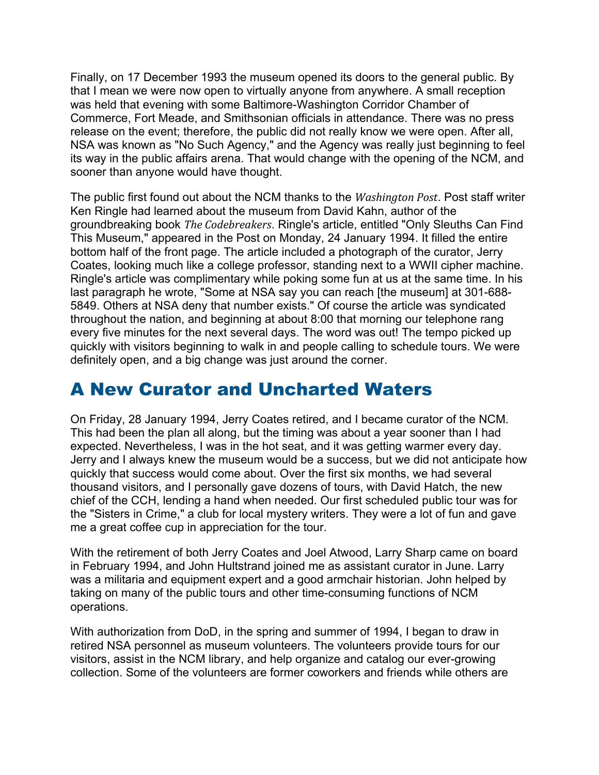Finally, on 17 December 1993 the museum opened its doors to the general public. By that I mean we were now open to virtually anyone from anywhere. A small reception was held that evening with some Baltimore-Washington Corridor Chamber of Commerce, Fort Meade, and Smithsonian officials in attendance. There was no press release on the event; therefore, the public did not really know we were open. After all, NSA was known as "No Such Agency," and the Agency was really just beginning to feel its way in the public affairs arena. That would change with the opening of the NCM, and sooner than anyone would have thought.

The public first found out about the NCM thanks to the *Washington Post*. Post staff writer Ken Ringle had learned about the museum from David Kahn, author of the groundbreaking book *The Codebreakers*. Ringle's article, entitled "Only Sleuths Can Find This Museum," appeared in the Post on Monday, 24 January 1994. It filled the entire bottom half of the front page. The article included a photograph of the curator, Jerry Coates, looking much like a college professor, standing next to a WWII cipher machine. Ringle's article was complimentary while poking some fun at us at the same time. In his last paragraph he wrote, "Some at NSA say you can reach [the museum] at 301-688- 5849. Others at NSA deny that number exists." Of course the article was syndicated throughout the nation, and beginning at about 8:00 that morning our telephone rang every five minutes for the next several days. The word was out! The tempo picked up quickly with visitors beginning to walk in and people calling to schedule tours. We were definitely open, and a big change was just around the corner.

## A New Curator and Uncharted Waters

On Friday, 28 January 1994, Jerry Coates retired, and I became curator of the NCM. This had been the plan all along, but the timing was about a year sooner than I had expected. Nevertheless, I was in the hot seat, and it was getting warmer every day. Jerry and I always knew the museum would be a success, but we did not anticipate how quickly that success would come about. Over the first six months, we had several thousand visitors, and I personally gave dozens of tours, with David Hatch, the new chief of the CCH, lending a hand when needed. Our first scheduled public tour was for the "Sisters in Crime," a club for local mystery writers. They were a lot of fun and gave me a great coffee cup in appreciation for the tour.

With the retirement of both Jerry Coates and Joel Atwood, Larry Sharp came on board in February 1994, and John Hultstrand joined me as assistant curator in June. Larry was a militaria and equipment expert and a good armchair historian. John helped by taking on many of the public tours and other time-consuming functions of NCM operations.

With authorization from DoD, in the spring and summer of 1994, I began to draw in retired NSA personnel as museum volunteers. The volunteers provide tours for our visitors, assist in the NCM library, and help organize and catalog our ever-growing collection. Some of the volunteers are former coworkers and friends while others are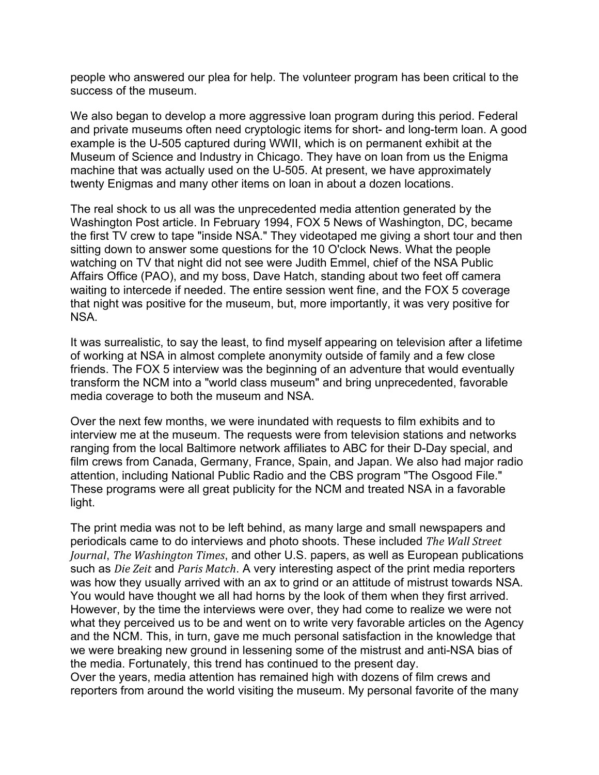people who answered our plea for help. The volunteer program has been critical to the success of the museum.

We also began to develop a more aggressive loan program during this period. Federal and private museums often need cryptologic items for short- and long-term loan. A good example is the U-505 captured during WWII, which is on permanent exhibit at the Museum of Science and Industry in Chicago. They have on loan from us the Enigma machine that was actually used on the U-505. At present, we have approximately twenty Enigmas and many other items on loan in about a dozen locations.

The real shock to us all was the unprecedented media attention generated by the Washington Post article. In February 1994, FOX 5 News of Washington, DC, became the first TV crew to tape "inside NSA." They videotaped me giving a short tour and then sitting down to answer some questions for the 10 O'clock News. What the people watching on TV that night did not see were Judith Emmel, chief of the NSA Public Affairs Office (PAO), and my boss, Dave Hatch, standing about two feet off camera waiting to intercede if needed. The entire session went fine, and the FOX 5 coverage that night was positive for the museum, but, more importantly, it was very positive for NSA.

It was surrealistic, to say the least, to find myself appearing on television after a lifetime of working at NSA in almost complete anonymity outside of family and a few close friends. The FOX 5 interview was the beginning of an adventure that would eventually transform the NCM into a "world class museum" and bring unprecedented, favorable media coverage to both the museum and NSA.

Over the next few months, we were inundated with requests to film exhibits and to interview me at the museum. The requests were from television stations and networks ranging from the local Baltimore network affiliates to ABC for their D-Day special, and film crews from Canada, Germany, France, Spain, and Japan. We also had major radio attention, including National Public Radio and the CBS program "The Osgood File." These programs were all great publicity for the NCM and treated NSA in a favorable light.

The print media was not to be left behind, as many large and small newspapers and periodicals came to do interviews and photo shoots. These included *The Wall Street Journal*, *The Washington Times*, and other U.S. papers, as well as European publications such as *Die Zeit* and *Paris Match*. A very interesting aspect of the print media reporters was how they usually arrived with an ax to grind or an attitude of mistrust towards NSA. You would have thought we all had horns by the look of them when they first arrived. However, by the time the interviews were over, they had come to realize we were not what they perceived us to be and went on to write very favorable articles on the Agency and the NCM. This, in turn, gave me much personal satisfaction in the knowledge that we were breaking new ground in lessening some of the mistrust and anti-NSA bias of the media. Fortunately, this trend has continued to the present day.

Over the years, media attention has remained high with dozens of film crews and reporters from around the world visiting the museum. My personal favorite of the many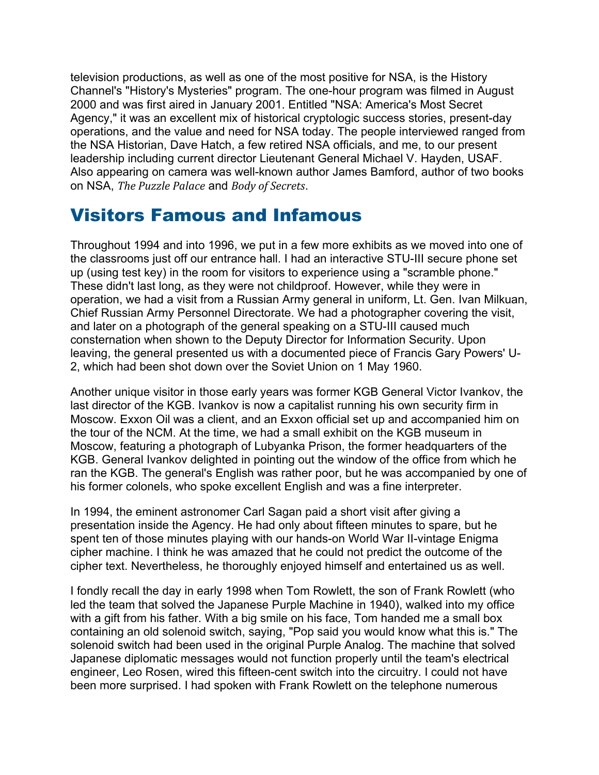television productions, as well as one of the most positive for NSA, is the History Channel's "History's Mysteries" program. The one-hour program was filmed in August 2000 and was first aired in January 2001. Entitled "NSA: America's Most Secret Agency," it was an excellent mix of historical cryptologic success stories, present-day operations, and the value and need for NSA today. The people interviewed ranged from the NSA Historian, Dave Hatch, a few retired NSA officials, and me, to our present leadership including current director Lieutenant General Michael V. Hayden, USAF. Also appearing on camera was well-known author James Bamford, author of two books on NSA, *The Puzzle Palace* and *Body of Secrets*.

#### Visitors Famous and Infamous

Throughout 1994 and into 1996, we put in a few more exhibits as we moved into one of the classrooms just off our entrance hall. I had an interactive STU-III secure phone set up (using test key) in the room for visitors to experience using a "scramble phone." These didn't last long, as they were not childproof. However, while they were in operation, we had a visit from a Russian Army general in uniform, Lt. Gen. Ivan Milkuan, Chief Russian Army Personnel Directorate. We had a photographer covering the visit, and later on a photograph of the general speaking on a STU-III caused much consternation when shown to the Deputy Director for Information Security. Upon leaving, the general presented us with a documented piece of Francis Gary Powers' U-2, which had been shot down over the Soviet Union on 1 May 1960.

Another unique visitor in those early years was former KGB General Victor Ivankov, the last director of the KGB. Ivankov is now a capitalist running his own security firm in Moscow. Exxon Oil was a client, and an Exxon official set up and accompanied him on the tour of the NCM. At the time, we had a small exhibit on the KGB museum in Moscow, featuring a photograph of Lubyanka Prison, the former headquarters of the KGB. General Ivankov delighted in pointing out the window of the office from which he ran the KGB. The general's English was rather poor, but he was accompanied by one of his former colonels, who spoke excellent English and was a fine interpreter.

In 1994, the eminent astronomer Carl Sagan paid a short visit after giving a presentation inside the Agency. He had only about fifteen minutes to spare, but he spent ten of those minutes playing with our hands-on World War II-vintage Enigma cipher machine. I think he was amazed that he could not predict the outcome of the cipher text. Nevertheless, he thoroughly enjoyed himself and entertained us as well.

I fondly recall the day in early 1998 when Tom Rowlett, the son of Frank Rowlett (who led the team that solved the Japanese Purple Machine in 1940), walked into my office with a gift from his father. With a big smile on his face, Tom handed me a small box containing an old solenoid switch, saying, "Pop said you would know what this is." The solenoid switch had been used in the original Purple Analog. The machine that solved Japanese diplomatic messages would not function properly until the team's electrical engineer, Leo Rosen, wired this fifteen-cent switch into the circuitry. I could not have been more surprised. I had spoken with Frank Rowlett on the telephone numerous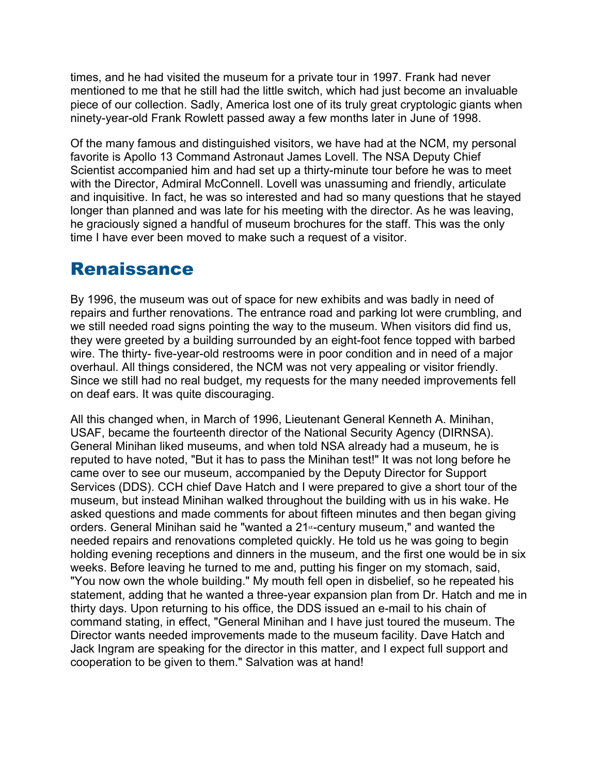times, and he had visited the museum for a private tour in 1997. Frank had never mentioned to me that he still had the little switch, which had just become an invaluable piece of our collection. Sadly, America lost one of its truly great cryptologic giants when ninety-year-old Frank Rowlett passed away a few months later in June of 1998.

Of the many famous and distinguished visitors, we have had at the NCM, my personal favorite is Apollo 13 Command Astronaut James Lovell. The NSA Deputy Chief Scientist accompanied him and had set up a thirty-minute tour before he was to meet with the Director, Admiral McConnell. Lovell was unassuming and friendly, articulate and inquisitive. In fact, he was so interested and had so many questions that he stayed longer than planned and was late for his meeting with the director. As he was leaving, he graciously signed a handful of museum brochures for the staff. This was the only time I have ever been moved to make such a request of a visitor.

#### Renaissance

By 1996, the museum was out of space for new exhibits and was badly in need of repairs and further renovations. The entrance road and parking lot were crumbling, and we still needed road signs pointing the way to the museum. When visitors did find us, they were greeted by a building surrounded by an eight-foot fence topped with barbed wire. The thirty- five-year-old restrooms were in poor condition and in need of a major overhaul. All things considered, the NCM was not very appealing or visitor friendly. Since we still had no real budget, my requests for the many needed improvements fell on deaf ears. It was quite discouraging.

All this changed when, in March of 1996, Lieutenant General Kenneth A. Minihan, USAF, became the fourteenth director of the National Security Agency (DIRNSA). General Minihan liked museums, and when told NSA already had a museum, he is reputed to have noted, "But it has to pass the Minihan test!" It was not long before he came over to see our museum, accompanied by the Deputy Director for Support Services (DDS). CCH chief Dave Hatch and I were prepared to give a short tour of the museum, but instead Minihan walked throughout the building with us in his wake. He asked questions and made comments for about fifteen minutes and then began giving orders. General Minihan said he "wanted a 21<sup>st</sup>-century museum," and wanted the needed repairs and renovations completed quickly. He told us he was going to begin holding evening receptions and dinners in the museum, and the first one would be in six weeks. Before leaving he turned to me and, putting his finger on my stomach, said, "You now own the whole building." My mouth fell open in disbelief, so he repeated his statement, adding that he wanted a three-year expansion plan from Dr. Hatch and me in thirty days. Upon returning to his office, the DDS issued an e-mail to his chain of command stating, in effect, "General Minihan and I have just toured the museum. The Director wants needed improvements made to the museum facility. Dave Hatch and Jack Ingram are speaking for the director in this matter, and I expect full support and cooperation to be given to them." Salvation was at hand!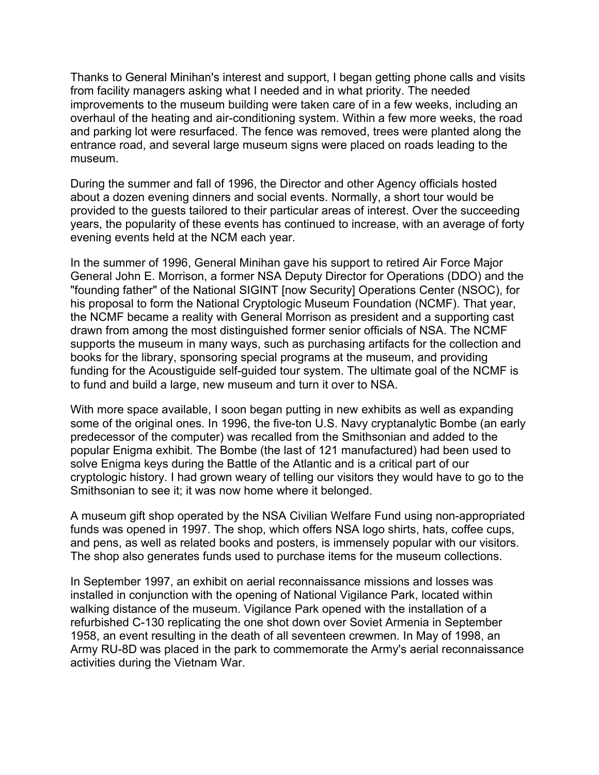Thanks to General Minihan's interest and support, I began getting phone calls and visits from facility managers asking what I needed and in what priority. The needed improvements to the museum building were taken care of in a few weeks, including an overhaul of the heating and air-conditioning system. Within a few more weeks, the road and parking lot were resurfaced. The fence was removed, trees were planted along the entrance road, and several large museum signs were placed on roads leading to the museum.

During the summer and fall of 1996, the Director and other Agency officials hosted about a dozen evening dinners and social events. Normally, a short tour would be provided to the guests tailored to their particular areas of interest. Over the succeeding years, the popularity of these events has continued to increase, with an average of forty evening events held at the NCM each year.

In the summer of 1996, General Minihan gave his support to retired Air Force Major General John E. Morrison, a former NSA Deputy Director for Operations (DDO) and the "founding father" of the National SIGINT [now Security] Operations Center (NSOC), for his proposal to form the National Cryptologic Museum Foundation (NCMF). That year, the NCMF became a reality with General Morrison as president and a supporting cast drawn from among the most distinguished former senior officials of NSA. The NCMF supports the museum in many ways, such as purchasing artifacts for the collection and books for the library, sponsoring special programs at the museum, and providing funding for the Acoustiguide self-guided tour system. The ultimate goal of the NCMF is to fund and build a large, new museum and turn it over to NSA.

With more space available, I soon began putting in new exhibits as well as expanding some of the original ones. In 1996, the five-ton U.S. Navy cryptanalytic Bombe (an early predecessor of the computer) was recalled from the Smithsonian and added to the popular Enigma exhibit. The Bombe (the last of 121 manufactured) had been used to solve Enigma keys during the Battle of the Atlantic and is a critical part of our cryptologic history. I had grown weary of telling our visitors they would have to go to the Smithsonian to see it; it was now home where it belonged.

A museum gift shop operated by the NSA Civilian Welfare Fund using non-appropriated funds was opened in 1997. The shop, which offers NSA logo shirts, hats, coffee cups, and pens, as well as related books and posters, is immensely popular with our visitors. The shop also generates funds used to purchase items for the museum collections.

In September 1997, an exhibit on aerial reconnaissance missions and losses was installed in conjunction with the opening of National Vigilance Park, located within walking distance of the museum. Vigilance Park opened with the installation of a refurbished C-130 replicating the one shot down over Soviet Armenia in September 1958, an event resulting in the death of all seventeen crewmen. In May of 1998, an Army RU-8D was placed in the park to commemorate the Army's aerial reconnaissance activities during the Vietnam War.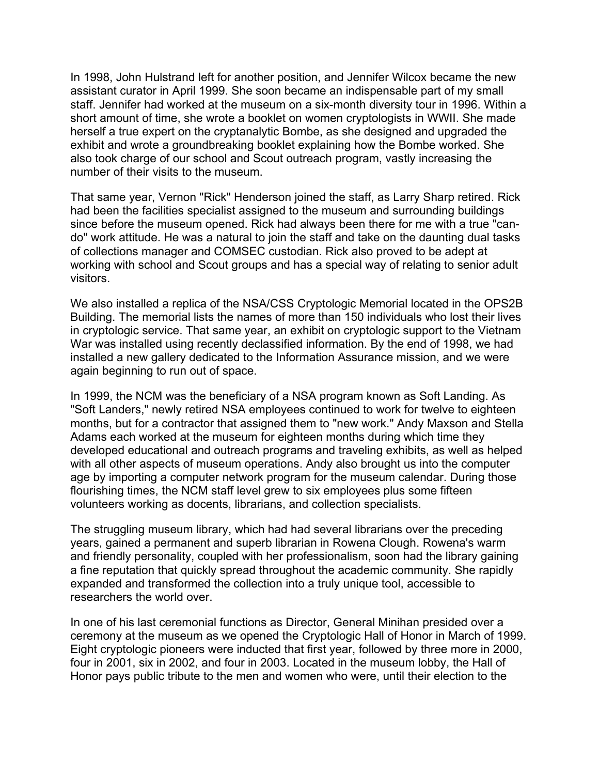In 1998, John Hulstrand left for another position, and Jennifer Wilcox became the new assistant curator in April 1999. She soon became an indispensable part of my small staff. Jennifer had worked at the museum on a six-month diversity tour in 1996. Within a short amount of time, she wrote a booklet on women cryptologists in WWII. She made herself a true expert on the cryptanalytic Bombe, as she designed and upgraded the exhibit and wrote a groundbreaking booklet explaining how the Bombe worked. She also took charge of our school and Scout outreach program, vastly increasing the number of their visits to the museum.

That same year, Vernon "Rick" Henderson joined the staff, as Larry Sharp retired. Rick had been the facilities specialist assigned to the museum and surrounding buildings since before the museum opened. Rick had always been there for me with a true "cando" work attitude. He was a natural to join the staff and take on the daunting dual tasks of collections manager and COMSEC custodian. Rick also proved to be adept at working with school and Scout groups and has a special way of relating to senior adult visitors.

We also installed a replica of the NSA/CSS Cryptologic Memorial located in the OPS2B Building. The memorial lists the names of more than 150 individuals who lost their lives in cryptologic service. That same year, an exhibit on cryptologic support to the Vietnam War was installed using recently declassified information. By the end of 1998, we had installed a new gallery dedicated to the Information Assurance mission, and we were again beginning to run out of space.

In 1999, the NCM was the beneficiary of a NSA program known as Soft Landing. As "Soft Landers," newly retired NSA employees continued to work for twelve to eighteen months, but for a contractor that assigned them to "new work." Andy Maxson and Stella Adams each worked at the museum for eighteen months during which time they developed educational and outreach programs and traveling exhibits, as well as helped with all other aspects of museum operations. Andy also brought us into the computer age by importing a computer network program for the museum calendar. During those flourishing times, the NCM staff level grew to six employees plus some fifteen volunteers working as docents, librarians, and collection specialists.

The struggling museum library, which had had several librarians over the preceding years, gained a permanent and superb librarian in Rowena Clough. Rowena's warm and friendly personality, coupled with her professionalism, soon had the library gaining a fine reputation that quickly spread throughout the academic community. She rapidly expanded and transformed the collection into a truly unique tool, accessible to researchers the world over.

In one of his last ceremonial functions as Director, General Minihan presided over a ceremony at the museum as we opened the Cryptologic Hall of Honor in March of 1999. Eight cryptologic pioneers were inducted that first year, followed by three more in 2000, four in 2001, six in 2002, and four in 2003. Located in the museum lobby, the Hall of Honor pays public tribute to the men and women who were, until their election to the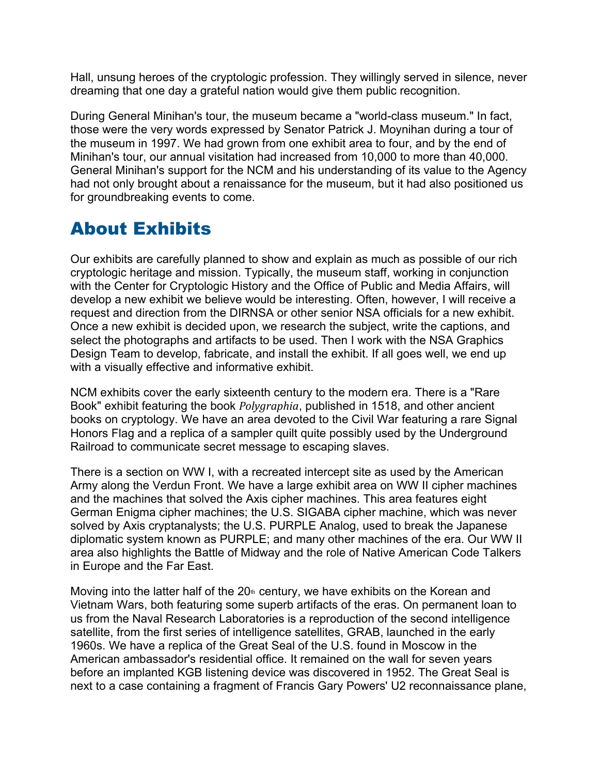Hall, unsung heroes of the cryptologic profession. They willingly served in silence, never dreaming that one day a grateful nation would give them public recognition.

During General Minihan's tour, the museum became a "world-class museum." In fact, those were the very words expressed by Senator Patrick J. Moynihan during a tour of the museum in 1997. We had grown from one exhibit area to four, and by the end of Minihan's tour, our annual visitation had increased from 10,000 to more than 40,000. General Minihan's support for the NCM and his understanding of its value to the Agency had not only brought about a renaissance for the museum, but it had also positioned us for groundbreaking events to come.

## About Exhibits

Our exhibits are carefully planned to show and explain as much as possible of our rich cryptologic heritage and mission. Typically, the museum staff, working in conjunction with the Center for Cryptologic History and the Office of Public and Media Affairs, will develop a new exhibit we believe would be interesting. Often, however, I will receive a request and direction from the DIRNSA or other senior NSA officials for a new exhibit. Once a new exhibit is decided upon, we research the subject, write the captions, and select the photographs and artifacts to be used. Then I work with the NSA Graphics Design Team to develop, fabricate, and install the exhibit. If all goes well, we end up with a visually effective and informative exhibit.

NCM exhibits cover the early sixteenth century to the modern era. There is a "Rare Book" exhibit featuring the book *Polygraphia*, published in 1518, and other ancient books on cryptology. We have an area devoted to the Civil War featuring a rare Signal Honors Flag and a replica of a sampler quilt quite possibly used by the Underground Railroad to communicate secret message to escaping slaves.

There is a section on WW I, with a recreated intercept site as used by the American Army along the Verdun Front. We have a large exhibit area on WW II cipher machines and the machines that solved the Axis cipher machines. This area features eight German Enigma cipher machines; the U.S. SIGABA cipher machine, which was never solved by Axis cryptanalysts; the U.S. PURPLE Analog, used to break the Japanese diplomatic system known as PURPLE; and many other machines of the era. Our WW II area also highlights the Battle of Midway and the role of Native American Code Talkers in Europe and the Far East.

Moving into the latter half of the  $20<sup>th</sup>$  century, we have exhibits on the Korean and Vietnam Wars, both featuring some superb artifacts of the eras. On permanent loan to us from the Naval Research Laboratories is a reproduction of the second intelligence satellite, from the first series of intelligence satellites, GRAB, launched in the early 1960s. We have a replica of the Great Seal of the U.S. found in Moscow in the American ambassador's residential office. It remained on the wall for seven years before an implanted KGB listening device was discovered in 1952. The Great Seal is next to a case containing a fragment of Francis Gary Powers' U2 reconnaissance plane,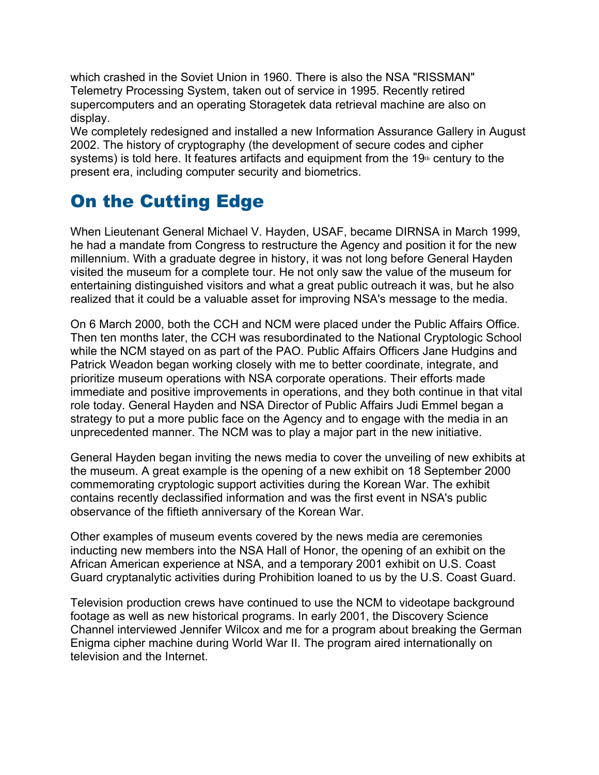which crashed in the Soviet Union in 1960. There is also the NSA "RISSMAN" Telemetry Processing System, taken out of service in 1995. Recently retired supercomputers and an operating Storagetek data retrieval machine are also on display.

We completely redesigned and installed a new Information Assurance Gallery in August 2002. The history of cryptography (the development of secure codes and cipher systems) is told here. It features artifacts and equipment from the 19th century to the present era, including computer security and biometrics.

## On the Cutting Edge

When Lieutenant General Michael V. Hayden, USAF, became DIRNSA in March 1999, he had a mandate from Congress to restructure the Agency and position it for the new millennium. With a graduate degree in history, it was not long before General Hayden visited the museum for a complete tour. He not only saw the value of the museum for entertaining distinguished visitors and what a great public outreach it was, but he also realized that it could be a valuable asset for improving NSA's message to the media.

On 6 March 2000, both the CCH and NCM were placed under the Public Affairs Office. Then ten months later, the CCH was resubordinated to the National Cryptologic School while the NCM stayed on as part of the PAO. Public Affairs Officers Jane Hudgins and Patrick Weadon began working closely with me to better coordinate, integrate, and prioritize museum operations with NSA corporate operations. Their efforts made immediate and positive improvements in operations, and they both continue in that vital role today. General Hayden and NSA Director of Public Affairs Judi Emmel began a strategy to put a more public face on the Agency and to engage with the media in an unprecedented manner. The NCM was to play a major part in the new initiative.

General Hayden began inviting the news media to cover the unveiling of new exhibits at the museum. A great example is the opening of a new exhibit on 18 September 2000 commemorating cryptologic support activities during the Korean War. The exhibit contains recently declassified information and was the first event in NSA's public observance of the fiftieth anniversary of the Korean War.

Other examples of museum events covered by the news media are ceremonies inducting new members into the NSA Hall of Honor, the opening of an exhibit on the African American experience at NSA, and a temporary 2001 exhibit on U.S. Coast Guard cryptanalytic activities during Prohibition loaned to us by the U.S. Coast Guard.

Television production crews have continued to use the NCM to videotape background footage as well as new historical programs. In early 2001, the Discovery Science Channel interviewed Jennifer Wilcox and me for a program about breaking the German Enigma cipher machine during World War II. The program aired internationally on television and the Internet.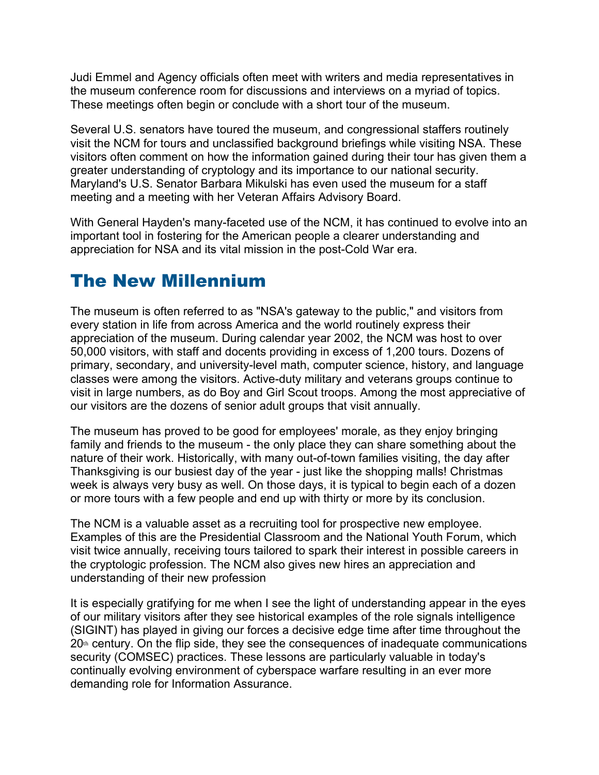Judi Emmel and Agency officials often meet with writers and media representatives in the museum conference room for discussions and interviews on a myriad of topics. These meetings often begin or conclude with a short tour of the museum.

Several U.S. senators have toured the museum, and congressional staffers routinely visit the NCM for tours and unclassified background briefings while visiting NSA. These visitors often comment on how the information gained during their tour has given them a greater understanding of cryptology and its importance to our national security. Maryland's U.S. Senator Barbara Mikulski has even used the museum for a staff meeting and a meeting with her Veteran Affairs Advisory Board.

With General Hayden's many-faceted use of the NCM, it has continued to evolve into an important tool in fostering for the American people a clearer understanding and appreciation for NSA and its vital mission in the post-Cold War era.

#### The New Millennium

The museum is often referred to as "NSA's gateway to the public," and visitors from every station in life from across America and the world routinely express their appreciation of the museum. During calendar year 2002, the NCM was host to over 50,000 visitors, with staff and docents providing in excess of 1,200 tours. Dozens of primary, secondary, and university-level math, computer science, history, and language classes were among the visitors. Active-duty military and veterans groups continue to visit in large numbers, as do Boy and Girl Scout troops. Among the most appreciative of our visitors are the dozens of senior adult groups that visit annually.

The museum has proved to be good for employees' morale, as they enjoy bringing family and friends to the museum - the only place they can share something about the nature of their work. Historically, with many out-of-town families visiting, the day after Thanksgiving is our busiest day of the year - just like the shopping malls! Christmas week is always very busy as well. On those days, it is typical to begin each of a dozen or more tours with a few people and end up with thirty or more by its conclusion.

The NCM is a valuable asset as a recruiting tool for prospective new employee. Examples of this are the Presidential Classroom and the National Youth Forum, which visit twice annually, receiving tours tailored to spark their interest in possible careers in the cryptologic profession. The NCM also gives new hires an appreciation and understanding of their new profession

It is especially gratifying for me when I see the light of understanding appear in the eyes of our military visitors after they see historical examples of the role signals intelligence (SIGINT) has played in giving our forces a decisive edge time after time throughout the  $20<sup>th</sup>$  century. On the flip side, they see the consequences of inadequate communications security (COMSEC) practices. These lessons are particularly valuable in today's continually evolving environment of cyberspace warfare resulting in an ever more demanding role for Information Assurance.